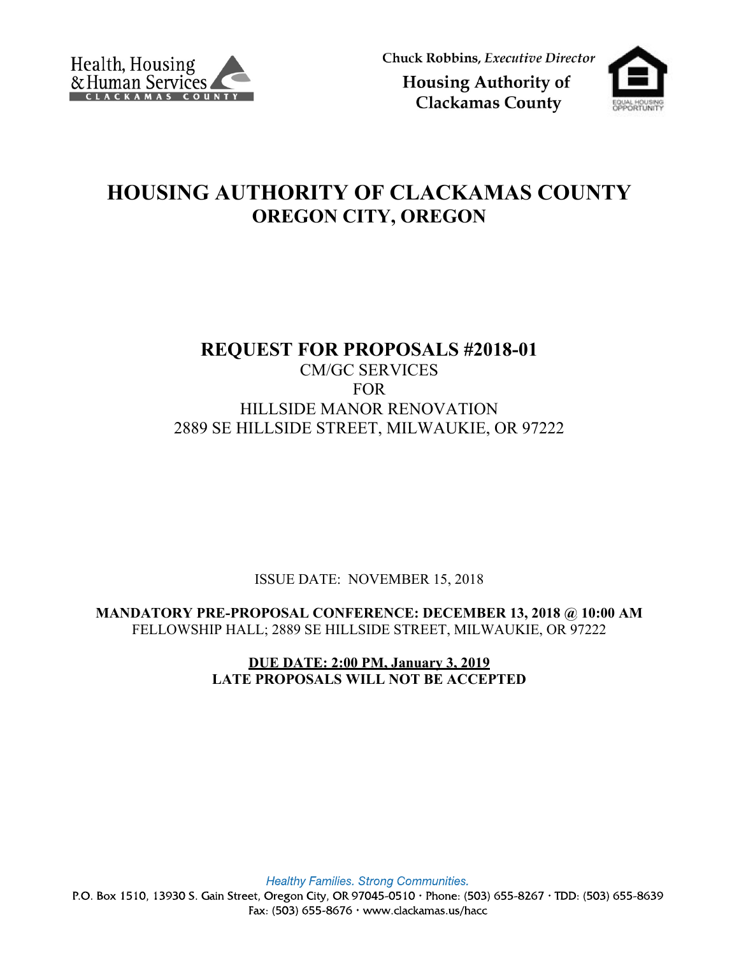

Chuck Robbins, Executive Director

**Housing Authority of Clackamas County** 



## **HOUSING AUTHORITY OF CLACKAMAS COUNTY OREGON CITY, OREGON**

# **REQUEST FOR PROPOSALS #2018-01**

### CM/GC SERVICES FOR HILLSIDE MANOR RENOVATION 2889 SE HILLSIDE STREET, MILWAUKIE, OR 97222

ISSUE DATE: NOVEMBER 15, 2018

**MANDATORY PRE-PROPOSAL CONFERENCE: DECEMBER 13, 2018 @ 10:00 AM** FELLOWSHIP HALL; 2889 SE HILLSIDE STREET, MILWAUKIE, OR 97222

> **DUE DATE: 2:00 PM, January 3, 2019 LATE PROPOSALS WILL NOT BE ACCEPTED**

Healthy Families. Strong Communities.

P.O. Box 1510, 13930 S. Gain Street, Oregon City, OR 97045-0510 · Phone: (503) 655-8267 · TDD: (503) 655-8639 Fax:  $(503)$  655-8676 · www.clackamas.us/hacc